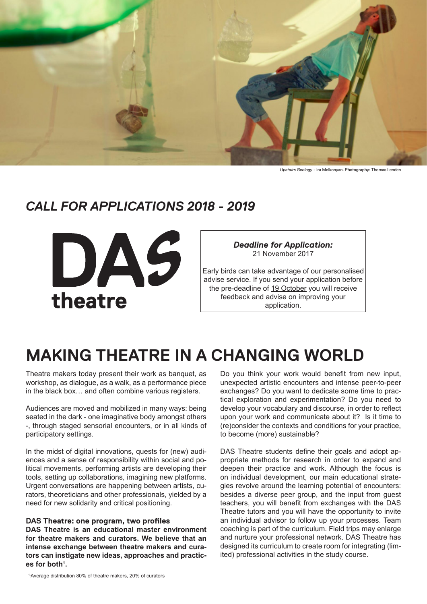

*Upstairs Geology -* Ira Melkonyan. Photography: Thomas Lenden

# *CALL FOR APPLICATIONS 2018 - 2019*



*Deadline for Application:* 21 November 2017 Early birds can take advantage of our personalised

advise service. If you send your application before the pre-deadline of 19 October you will receive feedback and advise on improving your application.

# **MAKING THEATRE IN A CHANGING WORLD**

Theatre makers today present their work as banquet, as workshop, as dialogue, as a walk, as a performance piece in the black box… and often combine various registers.

Audiences are moved and mobilized in many ways: being seated in the dark - one imaginative body amongst others -, through staged sensorial encounters, or in all kinds of participatory settings.

In the midst of digital innovations, quests for (new) audiences and a sense of responsibility within social and political movements, performing artists are developing their tools, setting up collaborations, imagining new platforms. Urgent conversations are happening between artists, curators, theoreticians and other professionals, yielded by a need for new solidarity and critical positioning.

## **DAS Theatre: one program, two profiles**

**DAS Theatre is an educational master environment for theatre makers and curators. We believe that an intense exchange between theatre makers and curators can instigate new ideas, approaches and practices for both1 .**

Do you think your work would benefit from new input, unexpected artistic encounters and intense peer-to-peer exchanges? Do you want to dedicate some time to practical exploration and experimentation? Do you need to develop your vocabulary and discourse, in order to reflect upon your work and communicate about it? Is it time to (re)consider the contexts and conditions for your practice, to become (more) sustainable?

DAS Theatre students define their goals and adopt appropriate methods for research in order to expand and deepen their practice and work. Although the focus is on individual development, our main educational strategies revolve around the learning potential of encounters: besides a diverse peer group, and the input from guest teachers, you will benefit from exchanges with the DAS Theatre tutors and you will have the opportunity to invite an individual advisor to follow up your processes. Team coaching is part of the curriculum. Field trips may enlarge and nurture your professional network. DAS Theatre has designed its curriculum to create room for integrating (limited) professional activities in the study course.